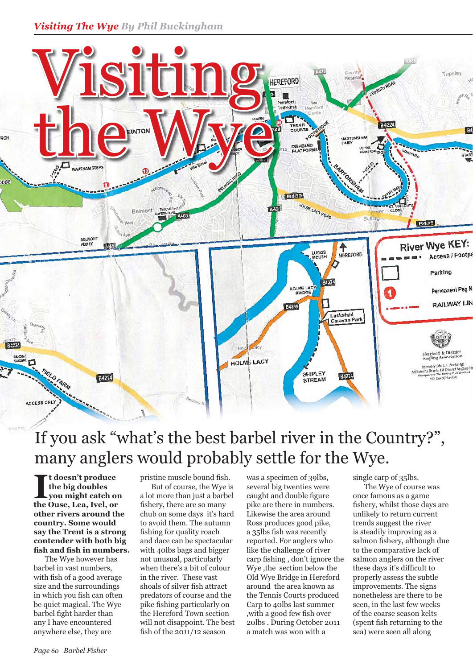

## If you ask "what's the best barbel river in the Country?", many anglers would probably settle for the Wye.

I<sup>I</sup> t doesn't produce<br>the big doubles<br>the Ouse, Lea, Ivel, or **t doesn't produce the big doubles you might catch on other rivers around the country. Some would say the Trent is a strong contender with both big**  fish and fish in numbers.

 The Wye however has barbel in vast numbers, with fish of a good average size and the surroundings in which you fish can often be quiet magical. The Wye barbel fight harder than any I have encountered anywhere else, they are

pristine muscle bound fish.

 But of course, the Wye is a lot more than just a barbel fishery, there are so many chub on some days it's hard to avoid them. The autumn fishing for quality roach and dace can be spectacular with 40lbs bags and bigger not unusual, particularly when there's a bit of colour in the river. These vast shoals of silver fish attract predators of course and the pike fishing particularly on the Hereford Town section will not disappoint. The best fish of the  $2011/12$  season

was a specimen of 39lbs, several big twenties were caught and double figure pike are there in numbers. Likewise the area around Ross produces good pike, a 35lbs fish was recently reported. For anglers who like the challenge of river carp fishing, don't ignore the Wye ,the section below the Old Wye Bridge in Hereford around the area known as the Tennis Courts produced Carp to 40lbs last summer , with a good few fish over 20lbs . During October 2011 a match was won with a

single carp of 35lbs.

 The Wye of course was once famous as a game fishery, whilst those days are unlikely to return current trends suggest the river is steadily improving as a salmon fishery, although due to the comparative lack of salmon anglers on the river these days it's difficult to properly assess the subtle improvements. The signs nonetheless are there to be seen, in the last few weeks of the coarse season kelts (spent fish returning to the sea) were seen all along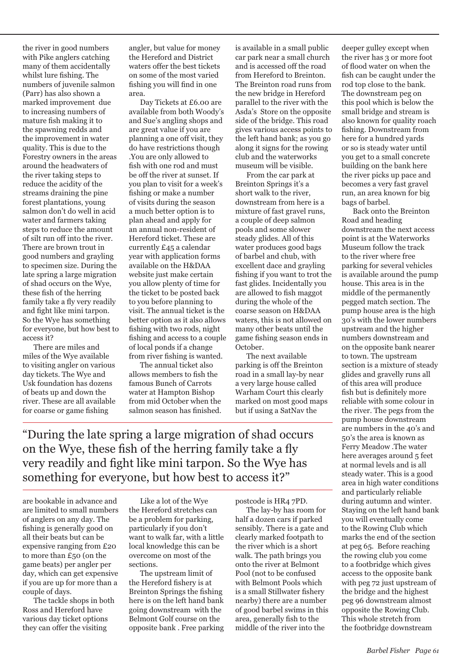the river in good numbers with Pike anglers catching many of them accidentally whilst lure fishing. The numbers of juvenile salmon (Parr) has also shown a marked improvement due to increasing numbers of mature fish making it to the spawning redds and the improvement in water quality. This is due to the Forestry owners in the areas around the headwaters of the river taking steps to reduce the acidity of the streams draining the pine forest plantations, young salmon don't do well in acid water and farmers taking steps to reduce the amount of silt run off into the river. There are brown trout in good numbers and grayling to specimen size. During the late spring a large migration of shad occurs on the Wye, these fish of the herring family take a fly very readily and fight like mini tarpon. So the Wye has something for everyone, but how best to access it?

 There are miles and miles of the Wye available to visiting angler on various day tickets. The Wye and Usk foundation has dozens of beats up and down the river. These are all available for coarse or game fishing

angler, but value for money the Hereford and District waters offer the best tickets on some of the most varied fishing you will find in one area.

 Day Tickets at £6.00 are available from both Woody's and Sue's angling shops and are great value if you are planning a one off visit, they do have restrictions though .You are only allowed to fish with one rod and must be off the river at sunset. If you plan to visit for a week's fishing or make a number of visits during the season a much better option is to plan ahead and apply for an annual non-resident of Hereford ticket. These are currently £45 a calendar year with application forms available on the H&DAA website just make certain you allow plenty of time for the ticket to be posted back to you before planning to visit. The annual ticket is the better option as it also allows fishing with two rods, night fishing and access to a couple of local ponds if a change from river fishing is wanted.

 The annual ticket also allows members to fish the famous Bunch of Carrots water at Hampton Bishop from mid October when the salmon season has finished. is available in a small public car park near a small church and is accessed off the road from Hereford to Breinton. The Breinton road runs from the new bridge in Hereford parallel to the river with the Asda's Store on the opposite side of the bridge. This road gives various access points to the left hand bank; as you go along it signs for the rowing club and the waterworks museum will be visible.

 From the car park at Breinton Springs it's a short walk to the river, downstream from here is a mixture of fast gravel runs, a couple of deep salmon pools and some slower steady glides. All of this water produces good bags of barbel and chub, with excellent dace and grayling fishing if you want to trot the fast glides. Incidentally you are allowed to fish maggot during the whole of the coarse season on H&DAA waters, this is not allowed on many other beats until the game fishing season ends in October.

 The next available parking is off the Breinton road in a small lay-by near a very large house called Warham Court this clearly marked on most good maps but if using a SatNav the

"During the late spring a large migration of shad occurs on the Wye, these fish of the herring family take a fly very readily and fight like mini tarpon. So the Wye has something for everyone, but how best to access it?"

are bookable in advance and are limited to small numbers of anglers on any day. The fishing is generally good on all their beats but can be expensive ranging from £20 to more than £50 (on the game beats) per angler per day, which can get expensive if you are up for more than a couple of days.

 The tackle shops in both Ross and Hereford have various day ticket options they can offer the visiting

 Like a lot of the Wye the Hereford stretches can be a problem for parking, particularly if you don't want to walk far, with a little local knowledge this can be overcome on most of the sections.

 The upstream limit of the Hereford fishery is at Breinton Springs the fishing here is on the left hand bank going downstream with the Belmont Golf course on the opposite bank . Free parking

postcode is HR4 7PD. The lay-by has room for half a dozen cars if parked sensibly. There is a gate and clearly marked footpath to the river which is a short walk. The path brings you onto the river at Belmont Pool (not to be confused with Belmont Pools which is a small Stillwater fishery nearby) there are a number of good barbel swims in this area, generally fish to the middle of the river into the

deeper gulley except when the river has 3 or more foot of flood water on when the fish can be caught under the rod top close to the bank. The downstream peg on this pool which is below the small bridge and stream is also known for quality roach fishing. Downstream from here for a hundred yards or so is steady water until you get to a small concrete building on the bank here the river picks up pace and becomes a very fast gravel run, an area known for big bags of barbel.

 Back onto the Breinton Road and heading downstream the next access point is at the Waterworks Museum follow the track to the river where free parking for several vehicles is available around the pump house. This area is in the middle of the permanently pegged match section. The pump house area is the high 30's with the lower numbers upstream and the higher numbers downstream and on the opposite bank nearer to town. The upstream section is a mixture of steady glides and gravelly runs all of this area will produce fish but is definitely more reliable with some colour in the river. The pegs from the pump house downstream are numbers in the 40's and 50's the area is known as Ferry Meadow .The water here averages around 5 feet at normal levels and is all steady water. This is a good area in high water conditions and particularly reliable during autumn and winter. Staying on the left hand bank you will eventually come to the Rowing Club which marks the end of the section at peg 65. Before reaching the rowing club you come to a footbridge which gives access to the opposite bank with peg 72 just upstream of the bridge and the highest peg 96 downstream almost opposite the Rowing Club. This whole stretch from the footbridge downstream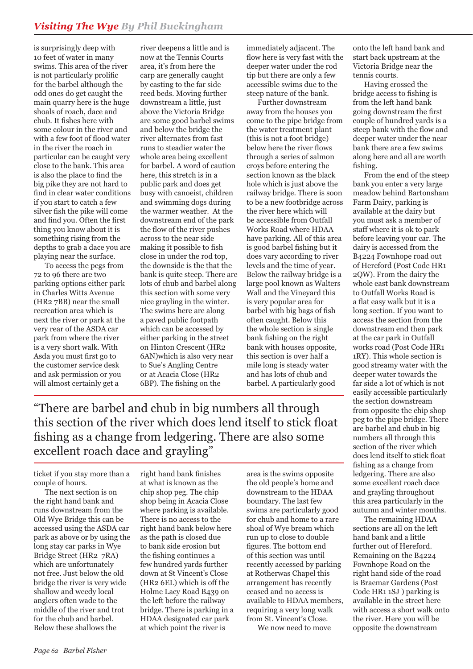is surprisingly deep with 10 feet of water in many swims. This area of the river is not particularly prolific for the barbel although the odd ones do get caught the main quarry here is the huge shoals of roach, dace and chub. It fishes here with some colour in the river and with a few foot of flood water in the river the roach in particular can be caught very close to the bank. This area is also the place to find the big pike they are not hard to find in clear water conditions if you start to catch a few silver fish the pike will come and find you. Often the first thing you know about it is something rising from the depths to grab a dace you are playing near the surface.

 To access the pegs from 72 to 96 there are two parking options either park in Charles Witts Avenue (HR2 7BB) near the small recreation area which is next the river or park at the very rear of the ASDA car park from where the river is a very short walk. With Asda you must first go to the customer service desk and ask permission or you will almost certainly get a

river deepens a little and is now at the Tennis Courts area, it's from here the carp are generally caught by casting to the far side reed beds. Moving further downstream a little, just above the Victoria Bridge are some good barbel swims and below the bridge the river alternates from fast runs to steadier water the whole area being excellent for barbel. A word of caution here, this stretch is in a public park and does get busy with canoeist, children and swimming dogs during the warmer weather. At the downstream end of the park the flow of the river pushes across to the near side making it possible to fish close in under the rod top, the downside is the that the bank is quite steep. There are lots of chub and barbel along this section with some very nice grayling in the winter. The swims here are along a paved public footpath which can be accessed by either parking in the street on Hinton Crescent (HR2 6AN)which is also very near to Sue's Angling Centre or at Acacia Close (HR2 6BP). The fishing on the

immediately adjacent. The flow here is very fast with the deeper water under the rod tip but there are only a few accessible swims due to the steep nature of the bank.

 Further downstream away from the houses you come to the pipe bridge from the water treatment plant (this is not a foot bridge) below here the river flows through a series of salmon croys before entering the section known as the black hole which is just above the railway bridge. There is soon to be a new footbridge across the river here which will be accessible from Outfall Works Road where HDAA have parking. All of this area is good barbel fishing but it does vary according to river levels and the time of year. Below the railway bridge is a large pool known as Walters Wall and the Vineyard this is very popular area for barbel with big bags of fish often caught. Below this the whole section is single bank fishing on the right bank with houses opposite, this section is over half a mile long is steady water and has lots of chub and barbel. A particularly good

"There are barbel and chub in big numbers all through this section of the river which does lend itself to stick float fishing as a change from ledgering. There are also some excellent roach dace and grayling"

ticket if you stay more than a couple of hours.

 The next section is on the right hand bank and runs downstream from the Old Wye Bridge this can be accessed using the ASDA car park as above or by using the long stay car parks in Wye Bridge Street (HR2 7RA) which are unfortunately not free. Just below the old bridge the river is very wide shallow and weedy local anglers often wade to the middle of the river and trot for the chub and barbel. Below these shallows the

right hand bank finishes at what is known as the chip shop peg. The chip shop being in Acacia Close where parking is available. There is no access to the right hand bank below here as the path is closed due to bank side erosion but the fishing continues a few hundred yards further down at St Vincent's Close (HR2 6EL) which is off the Holme Lacy Road B439 on the left before the railway bridge. There is parking in a HDAA designated car park at which point the river is

area is the swims opposite the old people's home and downstream to the HDAA boundary. The last few swims are particularly good for chub and home to a rare shoal of Wye bream which run up to close to double figures. The bottom end of this section was until recently accessed by parking at Rotherwas Chapel this arrangement has recently ceased and no access is available to HDAA members, requiring a very long walk from St. Vincent's Close.

We now need to move

onto the left hand bank and start back upstream at the Victoria Bridge near the tennis courts.

 Having crossed the bridge access to fishing is from the left hand bank going downstream the first couple of hundred yards is a steep bank with the flow and deeper water under the near bank there are a few swims along here and all are worth fishing.

 From the end of the steep bank you enter a very large meadow behind Bartonsham Farm Dairy, parking is available at the dairy but you must ask a member of staff where it is ok to park before leaving your car. The dairy is accessed from the B4224 Fownhope road out of Hereford (Post Code HR1 2QW). From the dairy the whole east bank downstream to Outfall Works Road is a flat easy walk but it is a long section. If you want to access the section from the downstream end then park at the car park in Outfall works road (Post Code HR1 1RY). This whole section is good streamy water with the deeper water towards the far side a lot of which is not easily accessible particularly the section downstream from opposite the chip shop peg to the pipe bridge. There are barbel and chub in big numbers all through this section of the river which does lend itself to stick float fishing as a change from ledgering. There are also some excellent roach dace and grayling throughout this area particularly in the autumn and winter months.

 The remaining HDAA sections are all on the left hand bank and a little further out of Hereford. Remaining on the B4224 Fownhope Road on the right hand side of the road is Braemar Gardens (Post Code HR1 1SJ ) parking is available in the street here with access a short walk onto the river. Here you will be opposite the downstream